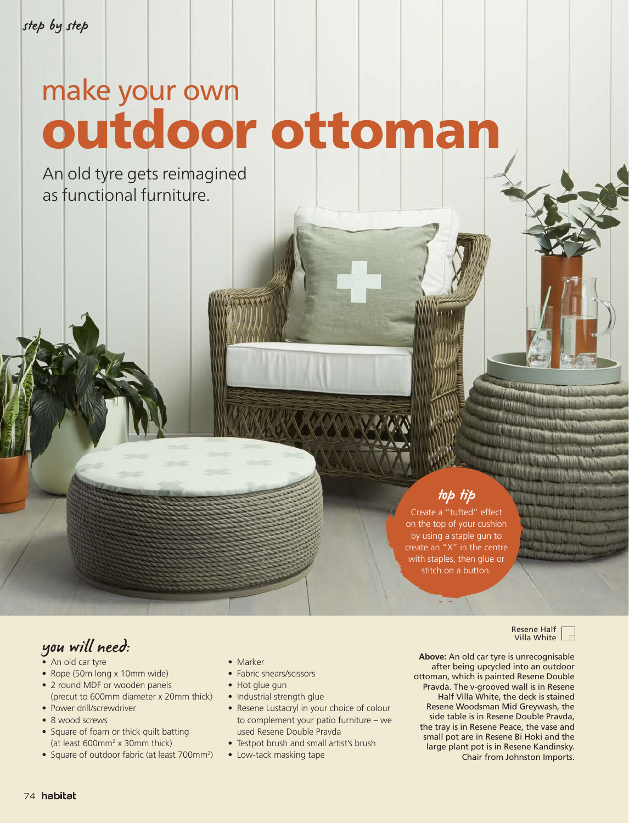## make your own outdoor ottoman

An old tyre gets reimagined as functional furniture.

## top tip

Create a "tufted" effect on the top of your cushion by using a staple gun to create an "X" in the centre with staples, then glue or stitch on a button.

## you will need:

- An old car tyre
- Rope (50m long x 10mm wide)
- 2 round MDF or wooden panels (precut to 600mm diameter x 20mm thick)
- Power drill/screwdriver
- 8 wood screws
- Square of foam or thick quilt batting (at least 600mm<sup>2</sup> x 30mm thick)
- Square of outdoor fabric (at least 700mm<sup>2</sup>)
- Marker
- Fabric shears/scissors
- Hot glue gun
- Industrial strength glue
- Resene Lustacryl in your choice of colour to complement your patio furniture – we used Resene Double Pravda
- Testpot brush and small artist's brush
- Low-tack masking tape



**Above:** An old car tyre is unrecognisable after being upcycled into an outdoor ottoman, which is painted Resene Double Pravda. The v-grooved wall is in Resene Half Villa White, the deck is stained Resene Woodsman Mid Greywash, the side table is in Resene Double Pravda, the tray is in Resene Peace, the vase and small pot are in Resene Bi Hoki and the large plant pot is in Resene Kandinsky. Chair from Johnston Imports.